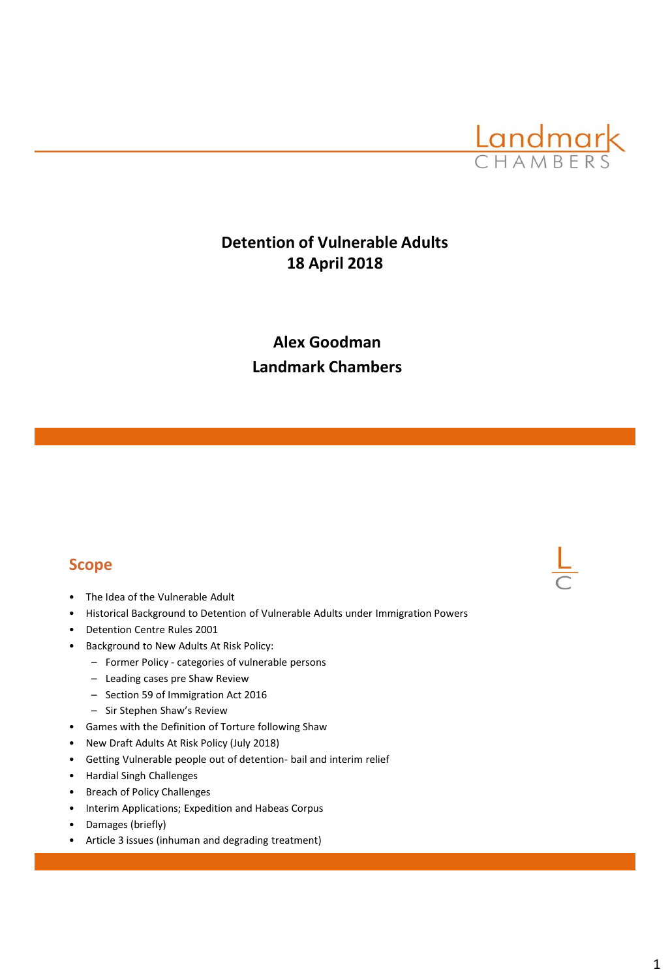

# **Detention of Vulnerable Adults 18 April 2018**

# **Alex Goodman Landmark Chambers**

### **Scope**

- The Idea of the Vulnerable Adult
- Historical Background to Detention of Vulnerable Adults under Immigration Powers
- Detention Centre Rules 2001
- Background to New Adults At Risk Policy:
	- Former Policy categories of vulnerable persons
	- Leading cases pre Shaw Review
	- Section 59 of Immigration Act 2016
	- Sir Stephen Shaw's Review
- Games with the Definition of Torture following Shaw
- New Draft Adults At Risk Policy (July 2018)
- Getting Vulnerable people out of detention- bail and interim relief
- Hardial Singh Challenges
- Breach of Policy Challenges
- Interim Applications; Expedition and Habeas Corpus
- Damages (briefly)
- Article 3 issues (inhuman and degrading treatment)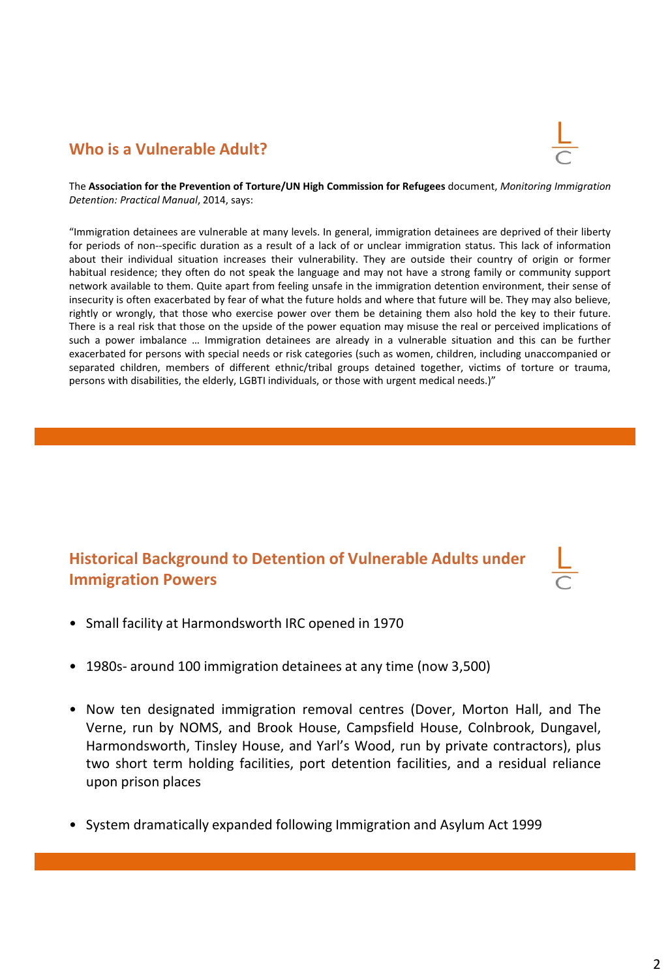## **Who is a Vulnerable Adult?**



The **Association for the Prevention of Torture/UN High Commission for Refugees** document, *Monitoring Immigration Detention: Practical Manual*, 2014, says:

"Immigration detainees are vulnerable at many levels. In general, immigration detainees are deprived of their liberty for periods of non-‐specific duration as a result of a lack of or unclear immigration status. This lack of information about their individual situation increases their vulnerability. They are outside their country of origin or former habitual residence; they often do not speak the language and may not have a strong family or community support network available to them. Quite apart from feeling unsafe in the immigration detention environment, their sense of insecurity is often exacerbated by fear of what the future holds and where that future will be. They may also believe, rightly or wrongly, that those who exercise power over them be detaining them also hold the key to their future. There is a real risk that those on the upside of the power equation may misuse the real or perceived implications of such a power imbalance … Immigration detainees are already in a vulnerable situation and this can be further exacerbated for persons with special needs or risk categories (such as women, children, including unaccompanied or separated children, members of different ethnic/tribal groups detained together, victims of torture or trauma, persons with disabilities, the elderly, LGBTI individuals, or those with urgent medical needs.)"

# **Historical Background to Detention of Vulnerable Adults under Immigration Powers**



- Small facility at Harmondsworth IRC opened in 1970
- 1980s- around 100 immigration detainees at any time (now 3,500)
- Now ten designated immigration removal centres (Dover, Morton Hall, and The Verne, run by NOMS, and Brook House, Campsfield House, Colnbrook, Dungavel, Harmondsworth, Tinsley House, and Yarl's Wood, run by private contractors), plus two short term holding facilities, port detention facilities, and a residual reliance upon prison places
- System dramatically expanded following Immigration and Asylum Act 1999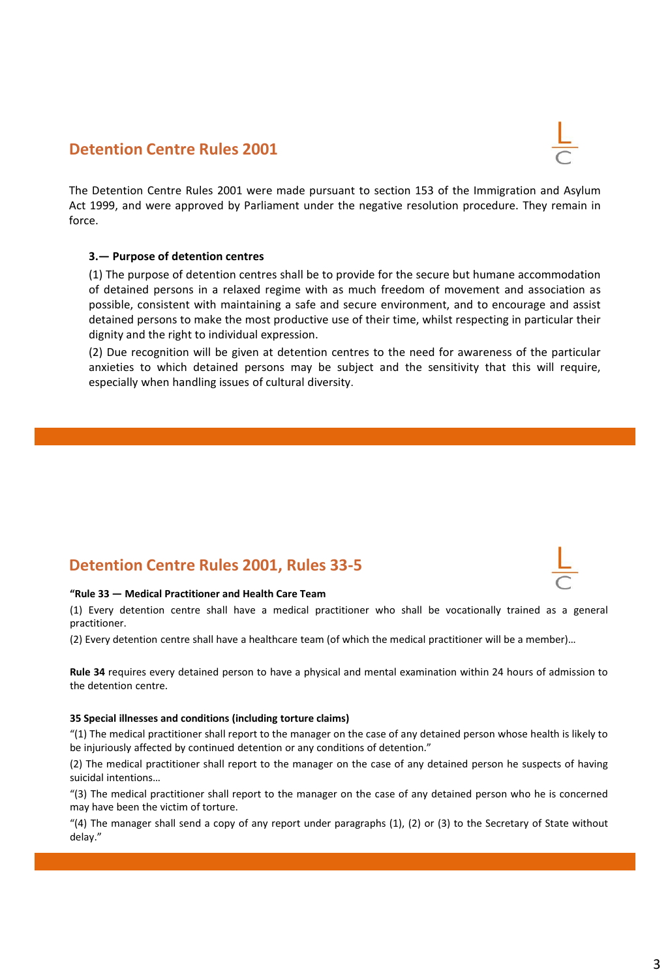### **Detention Centre Rules 2001**

The Detention Centre Rules 2001 were made pursuant to section 153 of the Immigration and Asylum Act 1999, and were approved by Parliament under the negative resolution procedure. They remain in force.

#### **3.— Purpose of detention centres**

(1) The purpose of detention centres shall be to provide for the secure but humane accommodation of detained persons in a relaxed regime with as much freedom of movement and association as possible, consistent with maintaining a safe and secure environment, and to encourage and assist detained persons to make the most productive use of their time, whilst respecting in particular their dignity and the right to individual expression.

(2) Due recognition will be given at detention centres to the need for awareness of the particular anxieties to which detained persons may be subject and the sensitivity that this will require, especially when handling issues of cultural diversity.

## **Detention Centre Rules 2001, Rules 33-5**

#### **"Rule 33 — Medical Practitioner and Health Care Team**

(1) Every detention centre shall have a medical practitioner who shall be vocationally trained as a general practitioner.

(2) Every detention centre shall have a healthcare team (of which the medical practitioner will be a member)…

**Rule 34** requires every detained person to have a physical and mental examination within 24 hours of admission to the detention centre.

#### **35 Special illnesses and conditions (including torture claims)**

"(1) The medical practitioner shall report to the manager on the case of any detained person whose health is likely to be injuriously affected by continued detention or any conditions of detention."

(2) The medical practitioner shall report to the manager on the case of any detained person he suspects of having suicidal intentions…

"(3) The medical practitioner shall report to the manager on the case of any detained person who he is concerned may have been the victim of torture.

"(4) The manager shall send a copy of any report under paragraphs  $(1)$ ,  $(2)$  or  $(3)$  to the Secretary of State without delay."



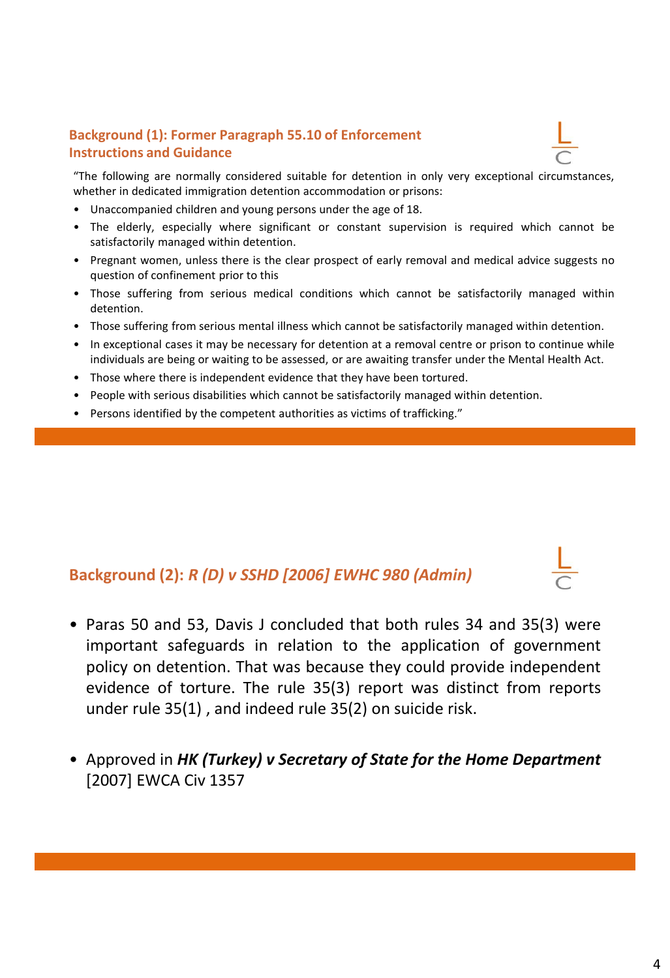### **Background (1): Former Paragraph 55.10 of Enforcement Instructions and Guidance**



"The following are normally considered suitable for detention in only very exceptional circumstances, whether in dedicated immigration detention accommodation or prisons:

- Unaccompanied children and young persons under the age of 18.
- The elderly, especially where significant or constant supervision is required which cannot be satisfactorily managed within detention.
- Pregnant women, unless there is the clear prospect of early removal and medical advice suggests no question of confinement prior to this
- Those suffering from serious medical conditions which cannot be satisfactorily managed within detention.
- Those suffering from serious mental illness which cannot be satisfactorily managed within detention.
- In exceptional cases it may be necessary for detention at a removal centre or prison to continue while individuals are being or waiting to be assessed, or are awaiting transfer under the Mental Health Act.
- Those where there is independent evidence that they have been tortured.
- People with serious disabilities which cannot be satisfactorily managed within detention.
- Persons identified by the competent authorities as victims of trafficking."

# **Background (2):** *R (D) v SSHD [2006] EWHC 980 (Admin)*

- Paras 50 and 53, Davis J concluded that both rules 34 and 35(3) were important safeguards in relation to the application of government policy on detention. That was because they could provide independent evidence of torture. The rule 35(3) report was distinct from reports under rule 35(1) , and indeed rule 35(2) on suicide risk.
- Approved in *HK (Turkey) v Secretary of State for the Home Department* [2007] EWCA Civ 1357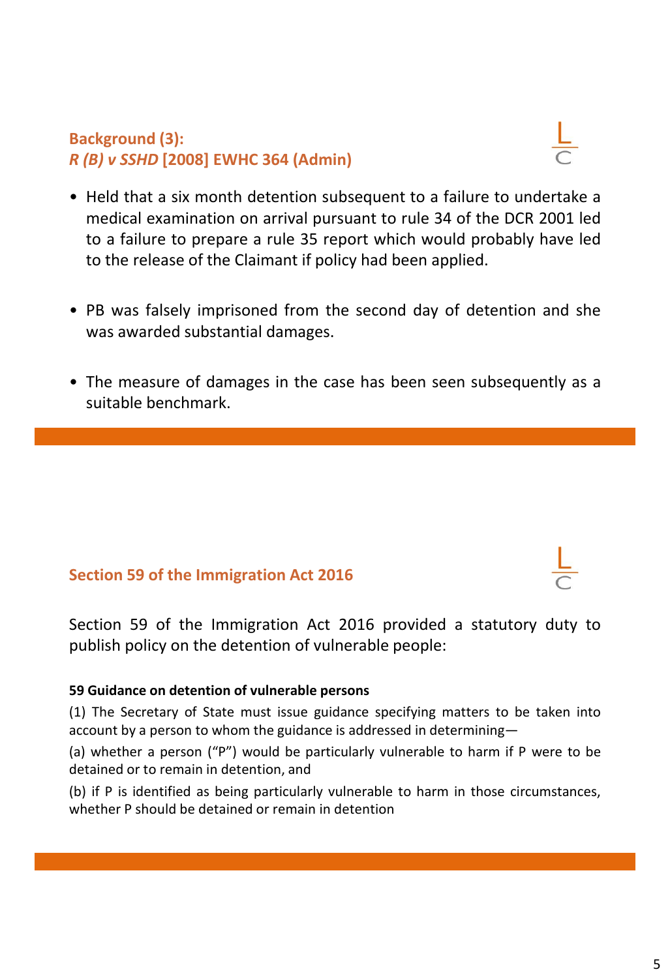# **Background (3):** *R (B) v SSHD* **[2008] EWHC 364 (Admin)**



- Held that a six month detention subsequent to a failure to undertake a medical examination on arrival pursuant to rule 34 of the DCR 2001 led to a failure to prepare a rule 35 report which would probably have led to the release of the Claimant if policy had been applied.
- PB was falsely imprisoned from the second day of detention and she was awarded substantial damages.
- The measure of damages in the case has been seen subsequently as a suitable benchmark.

## **Section 59 of the Immigration Act 2016**

Section 59 of the Immigration Act 2016 provided a statutory duty to publish policy on the detention of vulnerable people:

### **59 Guidance on detention of vulnerable persons**

(1) The Secretary of State must issue guidance specifying matters to be taken into account by a person to whom the guidance is addressed in determining—

(a) whether a person ("P") would be particularly vulnerable to harm if P were to be detained or to remain in detention, and

(b) if P is identified as being particularly vulnerable to harm in those circumstances, whether P should be detained or remain in detention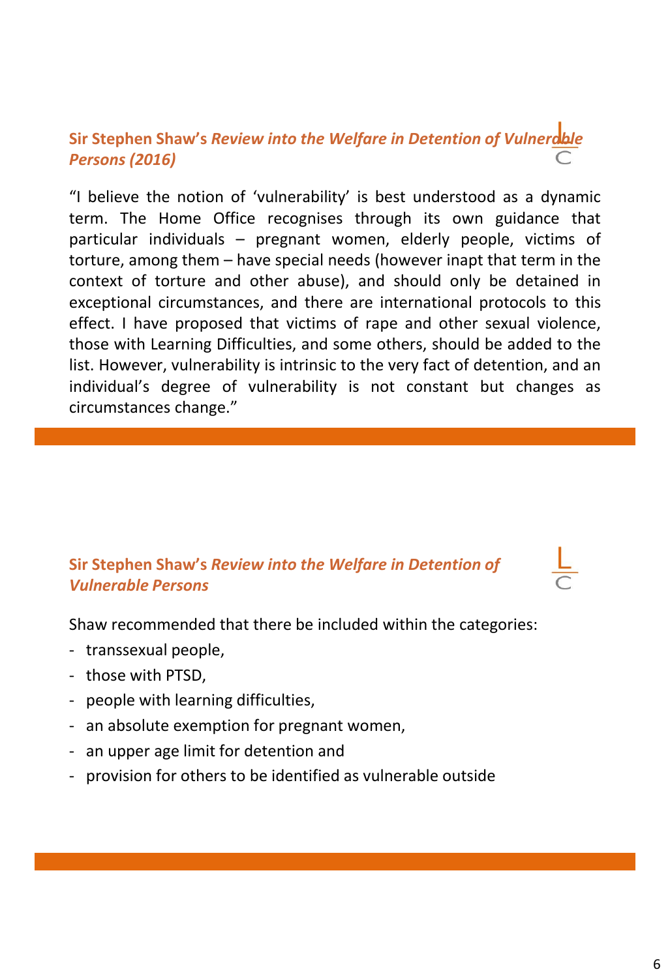# **Sir Stephen Shaw's** *Review into the Welfare in Detention of Vulnerable Persons (2016)*

"I believe the notion of 'vulnerability' is best understood as a dynamic term. The Home Office recognises through its own guidance that particular individuals – pregnant women, elderly people, victims of torture, among them – have special needs (however inapt that term in the context of torture and other abuse), and should only be detained in exceptional circumstances, and there are international protocols to this effect. I have proposed that victims of rape and other sexual violence, those with Learning Difficulties, and some others, should be added to the list. However, vulnerability is intrinsic to the very fact of detention, and an individual's degree of vulnerability is not constant but changes as circumstances change."

## **Sir Stephen Shaw's** *Review into the Welfare in Detention of Vulnerable Persons*

Shaw recommended that there be included within the categories:

- transsexual people,
- those with PTSD,
- people with learning difficulties,
- an absolute exemption for pregnant women,
- an upper age limit for detention and
- provision for others to be identified as vulnerable outside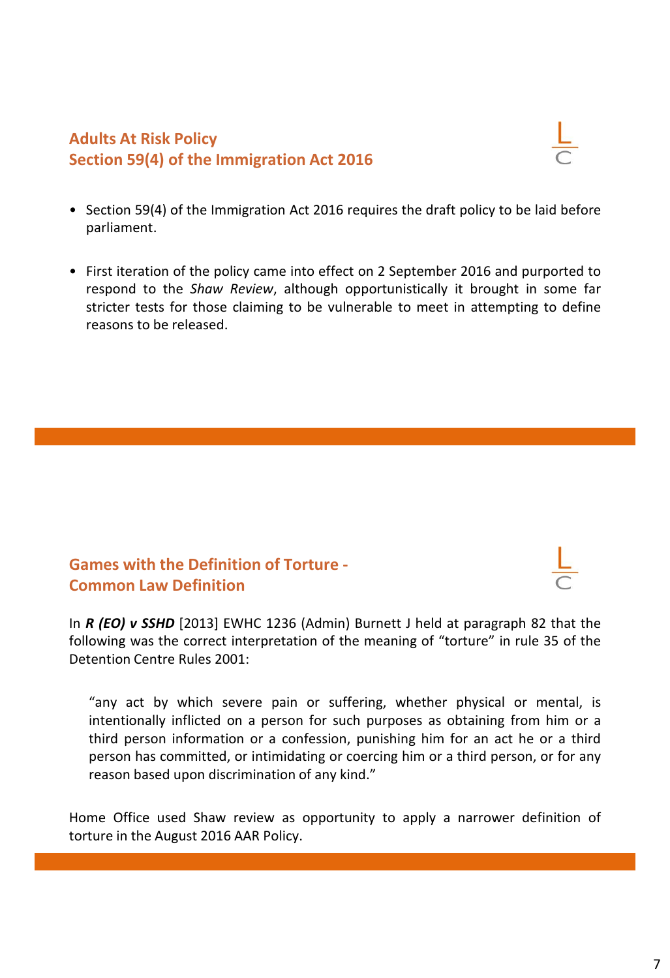## **Adults At Risk Policy Section 59(4) of the Immigration Act 2016**



- Section 59(4) of the Immigration Act 2016 requires the draft policy to be laid before parliament.
- First iteration of the policy came into effect on 2 September 2016 and purported to respond to the *Shaw Review*, although opportunistically it brought in some far stricter tests for those claiming to be vulnerable to meet in attempting to define reasons to be released.

# **Games with the Definition of Torture - Common Law Definition**

In *R (EO) v SSHD* [2013] EWHC 1236 (Admin) Burnett J held at paragraph 82 that the

following was the correct interpretation of the meaning of "torture" in rule 35 of the Detention Centre Rules 2001:

"any act by which severe pain or suffering, whether physical or mental, is intentionally inflicted on a person for such purposes as obtaining from him or a third person information or a confession, punishing him for an act he or a third person has committed, or intimidating or coercing him or a third person, or for any reason based upon discrimination of any kind."

Home Office used Shaw review as opportunity to apply a narrower definition of torture in the August 2016 AAR Policy.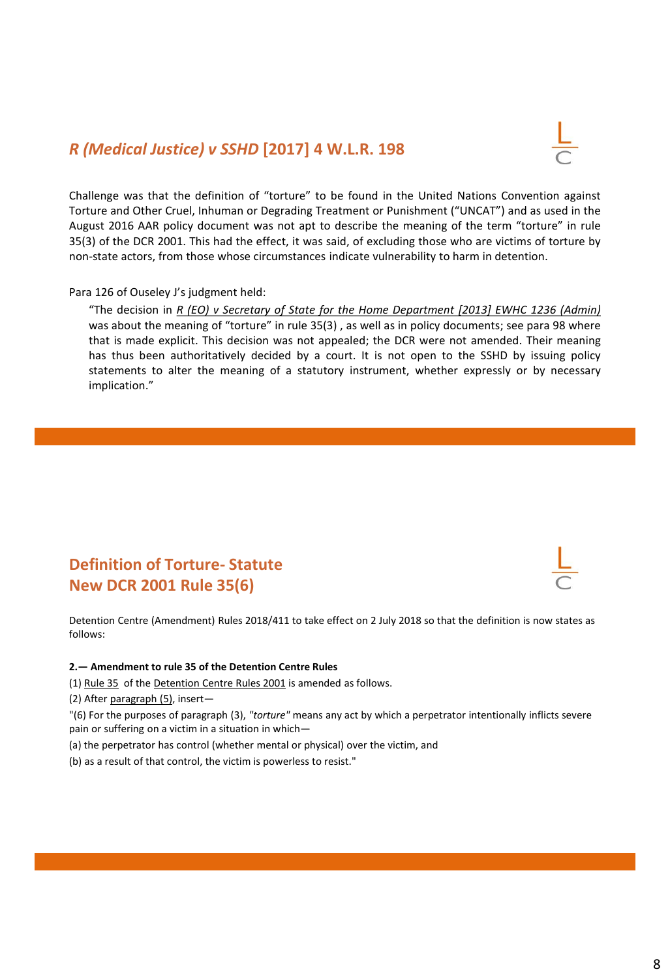### *R (Medical Justice) v SSHD* **[2017] 4 W.L.R. 198**



Challenge was that the definition of "torture" to be found in the United Nations Convention against Torture and Other Cruel, Inhuman or Degrading Treatment or Punishment ("UNCAT") and as used in the August 2016 AAR policy document was not apt to describe the meaning of the term "torture" in rule 35(3) of the DCR 2001. This had the effect, it was said, of excluding those who are victims of torture by non-state actors, from those whose circumstances indicate vulnerability to harm in detention.

#### Para 126 of Ouseley J's judgment held:

"The decision in *R (EO) v Secretary of State for the Home Department [2013] EWHC 1236 (Admin)* was about the meaning of "torture" in rule 35(3) , as well as in policy documents; see para 98 where that is made explicit. This decision was not appealed; the DCR were not amended. Their meaning has thus been authoritatively decided by a court. It is not open to the SSHD by issuing policy statements to alter the meaning of a statutory instrument, whether expressly or by necessary implication."

# **Definition of Torture- Statute New DCR 2001 Rule 35(6)**



Detention Centre (Amendment) Rules 2018/411 to take effect on 2 July 2018 so that the definition is now states as follows:

#### **2.— Amendment to rule 35 of the Detention Centre Rules**

(1) Rule 35 of the Detention Centre Rules 2001 is amended as follows.

(2) After paragraph (5), insert—

"(6) For the purposes of paragraph (3), *"torture"* means any act by which a perpetrator intentionally inflicts severe pain or suffering on a victim in a situation in which—

- (a) the perpetrator has control (whether mental or physical) over the victim, and
- (b) as a result of that control, the victim is powerless to resist."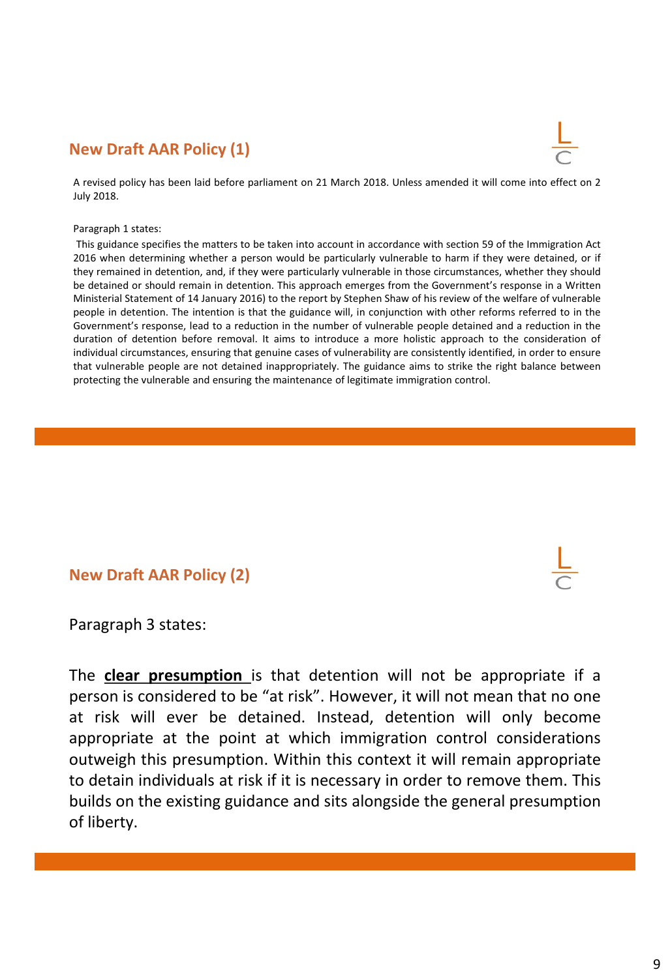### **New Draft AAR Policy (1)**



A revised policy has been laid before parliament on 21 March 2018. Unless amended it will come into effect on 2 July 2018.

#### Paragraph 1 states:

This guidance specifies the matters to be taken into account in accordance with section 59 of the Immigration Act 2016 when determining whether a person would be particularly vulnerable to harm if they were detained, or if they remained in detention, and, if they were particularly vulnerable in those circumstances, whether they should be detained or should remain in detention. This approach emerges from the Government's response in a Written Ministerial Statement of 14 January 2016) to the report by Stephen Shaw of his review of the welfare of vulnerable people in detention. The intention is that the guidance will, in conjunction with other reforms referred to in the Government's response, lead to a reduction in the number of vulnerable people detained and a reduction in the duration of detention before removal. It aims to introduce a more holistic approach to the consideration of individual circumstances, ensuring that genuine cases of vulnerability are consistently identified, in order to ensure that vulnerable people are not detained inappropriately. The guidance aims to strike the right balance between protecting the vulnerable and ensuring the maintenance of legitimate immigration control.

### **New Draft AAR Policy (2)**

Paragraph 3 states:

The **clear presumption** is that detention will not be appropriate if a person is considered to be "at risk". However, it will not mean that no one at risk will ever be detained. Instead, detention will only become appropriate at the point at which immigration control considerations outweigh this presumption. Within this context it will remain appropriate to detain individuals at risk if it is necessary in order to remove them. This builds on the existing guidance and sits alongside the general presumption of liberty.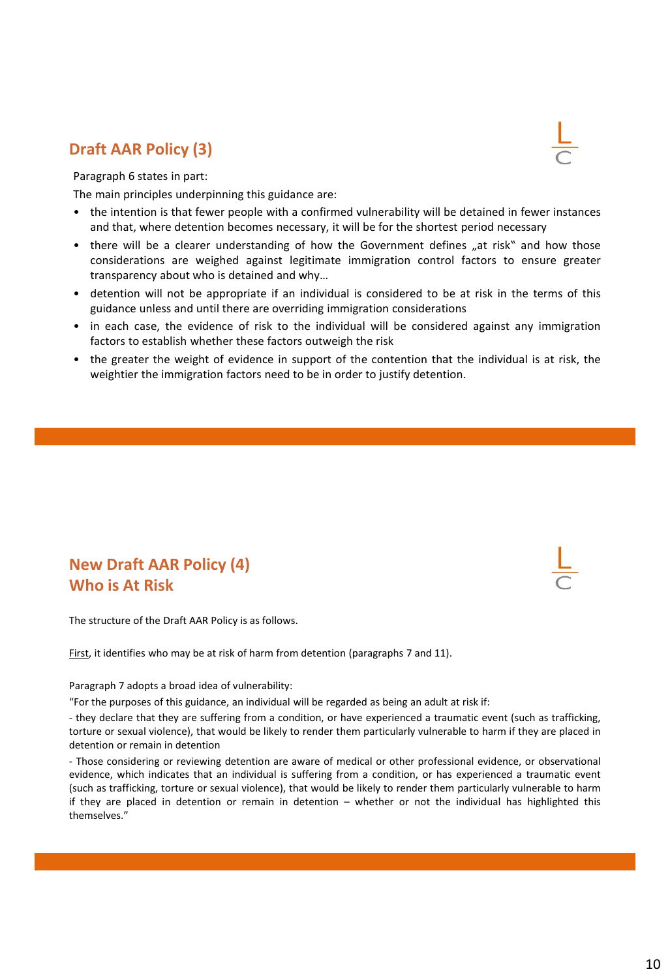### **Draft AAR Policy (3)**

Paragraph 6 states in part:

The main principles underpinning this guidance are:

- the intention is that fewer people with a confirmed vulnerability will be detained in fewer instances and that, where detention becomes necessary, it will be for the shortest period necessary
- there will be a clearer understanding of how the Government defines "at risk" and how those considerations are weighed against legitimate immigration control factors to ensure greater transparency about who is detained and why…
- detention will not be appropriate if an individual is considered to be at risk in the terms of this guidance unless and until there are overriding immigration considerations
- in each case, the evidence of risk to the individual will be considered against any immigration factors to establish whether these factors outweigh the risk
- the greater the weight of evidence in support of the contention that the individual is at risk, the weightier the immigration factors need to be in order to justify detention.

## **New Draft AAR Policy (4) Who is At Risk**

The structure of the Draft AAR Policy is as follows.

First, it identifies who may be at risk of harm from detention (paragraphs 7 and 11).

Paragraph 7 adopts a broad idea of vulnerability:

"For the purposes of this guidance, an individual will be regarded as being an adult at risk if:

- they declare that they are suffering from a condition, or have experienced a traumatic event (such as trafficking, torture or sexual violence), that would be likely to render them particularly vulnerable to harm if they are placed in detention or remain in detention

- Those considering or reviewing detention are aware of medical or other professional evidence, or observational evidence, which indicates that an individual is suffering from a condition, or has experienced a traumatic event (such as trafficking, torture or sexual violence), that would be likely to render them particularly vulnerable to harm if they are placed in detention or remain in detention – whether or not the individual has highlighted this themselves."



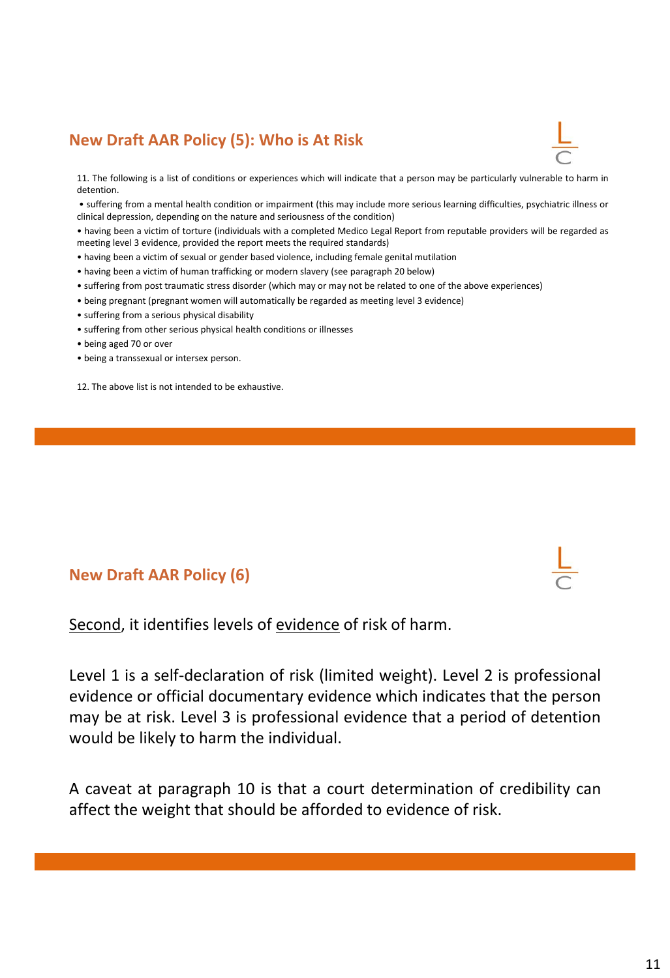# **New Draft AAR Policy (5): Who is At Risk**



11. The following is a list of conditions or experiences which will indicate that a person may be particularly vulnerable to harm in detention.

• suffering from a mental health condition or impairment (this may include more serious learning difficulties, psychiatric illness or clinical depression, depending on the nature and seriousness of the condition)

• having been a victim of torture (individuals with a completed Medico Legal Report from reputable providers will be regarded as meeting level 3 evidence, provided the report meets the required standards)

- having been a victim of sexual or gender based violence, including female genital mutilation
- having been a victim of human trafficking or modern slavery (see paragraph 20 below)
- suffering from post traumatic stress disorder (which may or may not be related to one of the above experiences)
- being pregnant (pregnant women will automatically be regarded as meeting level 3 evidence)
- suffering from a serious physical disability
- suffering from other serious physical health conditions or illnesses
- being aged 70 or over
- being a transsexual or intersex person.
- 12. The above list is not intended to be exhaustive.

### **New Draft AAR Policy (6)**



Second, it identifies levels of evidence of risk of harm.

Level 1 is a self-declaration of risk (limited weight). Level 2 is professional evidence or official documentary evidence which indicates that the person may be at risk. Level 3 is professional evidence that a period of detention would be likely to harm the individual.

A caveat at paragraph 10 is that a court determination of credibility can affect the weight that should be afforded to evidence of risk.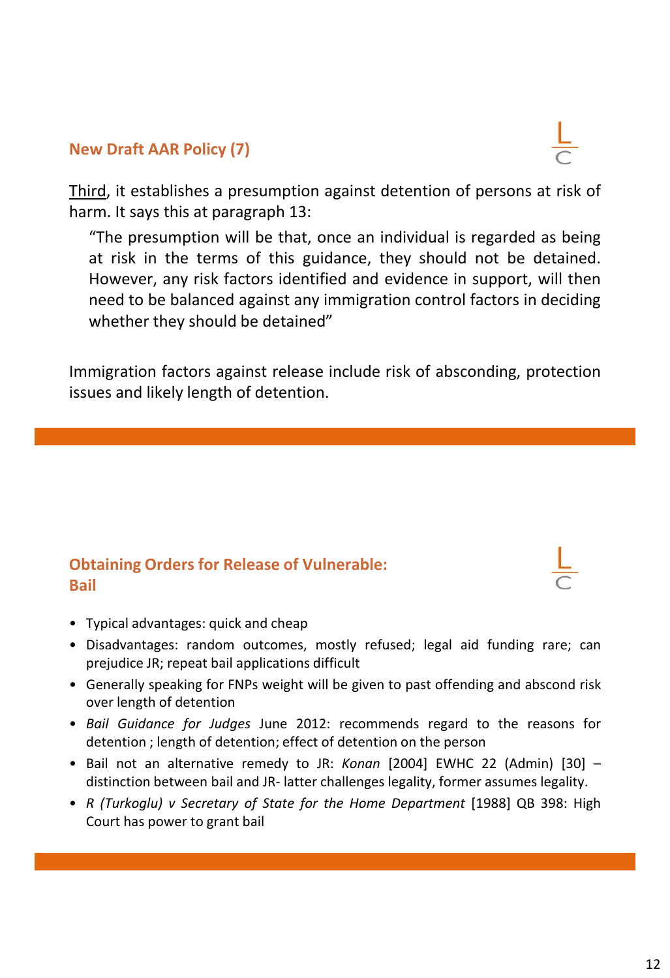Third, it establishes a presumption against detention of persons at risk of harm. It says this at paragraph 13:

"The presumption will be that, once an individual is regarded as being at risk in the terms of this guidance, they should not be detained. However, any risk factors identified and evidence in support, will then need to be balanced against any immigration control factors in deciding whether they should be detained"

Immigration factors against release include risk of absconding, protection issues and likely length of detention.

# **Obtaining Orders for Release of Vulnerable: Bail**

- Typical advantages: quick and cheap
- Disadvantages: random outcomes, mostly refused; legal aid funding rare; can prejudice JR; repeat bail applications difficult
- Generally speaking for FNPs weight will be given to past offending and abscond risk over length of detention
- *Bail Guidance for Judges* June 2012: recommends regard to the reasons for detention ; length of detention; effect of detention on the person
- Bail not an alternative remedy to JR: *Konan* [2004] EWHC 22 (Admin) [30] distinction between bail and JR- latter challenges legality, former assumes legality.
- *R (Turkoglu) v Secretary of State for the Home Department* [1988] QB 398: High Court has power to grant bail



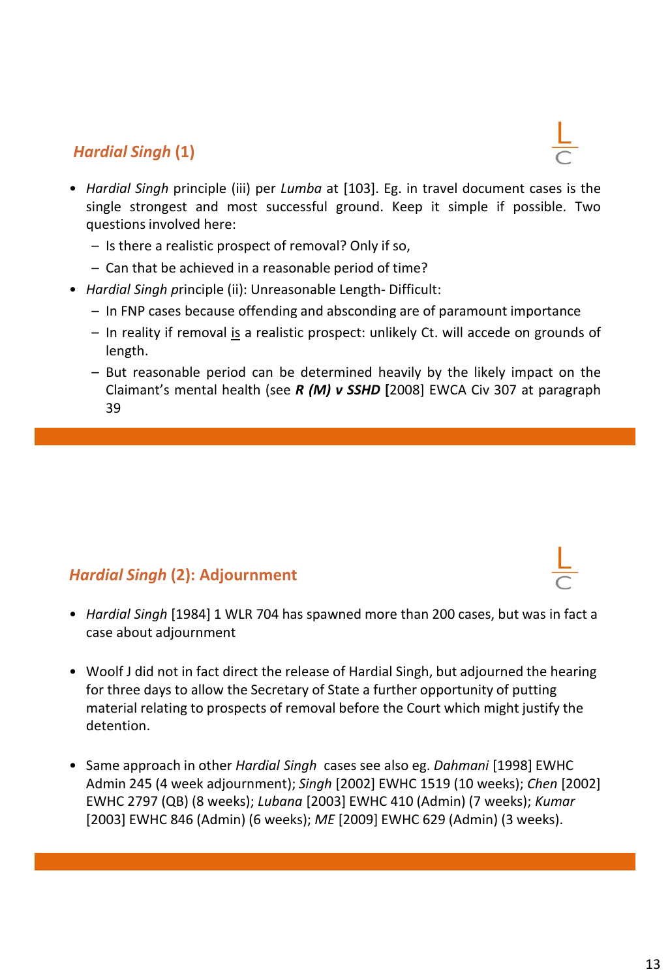# *Hardial Singh* **(1)**

- *Hardial Singh* principle (iii) per *Lumba* at [103]. Eg. in travel document cases is the single strongest and most successful ground. Keep it simple if possible. Two questions involved here:
	- Is there a realistic prospect of removal? Only if so,
	- Can that be achieved in a reasonable period of time?
- *Hardial Singh p*rinciple (ii): Unreasonable Length- Difficult:
	- In FNP cases because offending and absconding are of paramount importance
	- In reality if removal is a realistic prospect: unlikely Ct. will accede on grounds of length.
	- But reasonable period can be determined heavily by the likely impact on the Claimant's mental health (see *R (M) v SSHD* **[**2008] EWCA Civ 307 at paragraph 39

# *Hardial Singh* **(2): Adjournment**

- *Hardial Singh* [1984] 1 WLR 704 has spawned more than 200 cases, but was in fact a case about adjournment
- Woolf J did not in fact direct the release of Hardial Singh, but adjourned the hearing for three days to allow the Secretary of State a further opportunity of putting material relating to prospects of removal before the Court which might justify the detention.
- Same approach in other *Hardial Singh* cases see also eg. *Dahmani* [1998] EWHC Admin 245 (4 week adjournment); *Singh* [2002] EWHC 1519 (10 weeks); *Chen* [2002] EWHC 2797 (QB) (8 weeks); *Lubana* [2003] EWHC 410 (Admin) (7 weeks); *Kumar* [2003] EWHC 846 (Admin) (6 weeks); *ME* [2009] EWHC 629 (Admin) (3 weeks).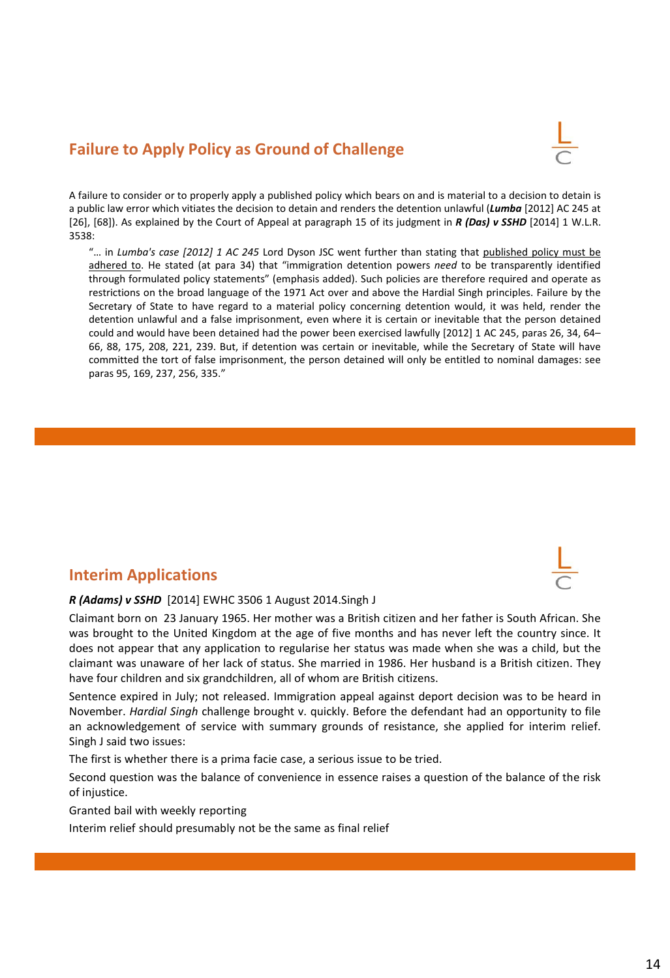## **Failure to Apply Policy as Ground of Challenge**



A failure to consider or to properly apply a published policy which bears on and is material to a decision to detain is a public law error which vitiates the decision to detain and renders the detention unlawful (*Lumba* [2012] AC 245 at [26], [68]). As explained by the Court of Appeal at paragraph 15 of its judgment in *R (Das) v SSHD* [2014] 1 W.L.R. 3538:

"… in *Lumba's case [2012] 1 AC 245* Lord Dyson JSC went further than stating that published policy must be adhered to. He stated (at para 34) that "immigration detention powers *need* to be transparently identified through formulated policy statements" (emphasis added). Such policies are therefore required and operate as restrictions on the broad language of the 1971 Act over and above the Hardial Singh principles. Failure by the Secretary of State to have regard to a material policy concerning detention would, it was held, render the detention unlawful and a false imprisonment, even where it is certain or inevitable that the person detained could and would have been detained had the power been exercised lawfully [2012] 1 AC 245, paras 26, 34, 64– 66, 88, 175, 208, 221, 239. But, if detention was certain or inevitable, while the Secretary of State will have committed the tort of false imprisonment, the person detained will only be entitled to nominal damages: see paras 95, 169, 237, 256, 335."

### **Interim Applications**



Claimant born on 23 January 1965. Her mother was a British citizen and her father is South African. She was brought to the United Kingdom at the age of five months and has never left the country since. It does not appear that any application to regularise her status was made when she was a child, but the claimant was unaware of her lack of status. She married in 1986. Her husband is a British citizen. They have four children and six grandchildren, all of whom are British citizens.

Sentence expired in July; not released. Immigration appeal against deport decision was to be heard in November. *Hardial Singh* challenge brought v. quickly. Before the defendant had an opportunity to file an acknowledgement of service with summary grounds of resistance, she applied for interim relief. Singh J said two issues:

The first is whether there is a prima facie case, a serious issue to be tried.

Second question was the balance of convenience in essence raises a question of the balance of the risk of injustice.

Granted bail with weekly reporting

Interim relief should presumably not be the same as final relief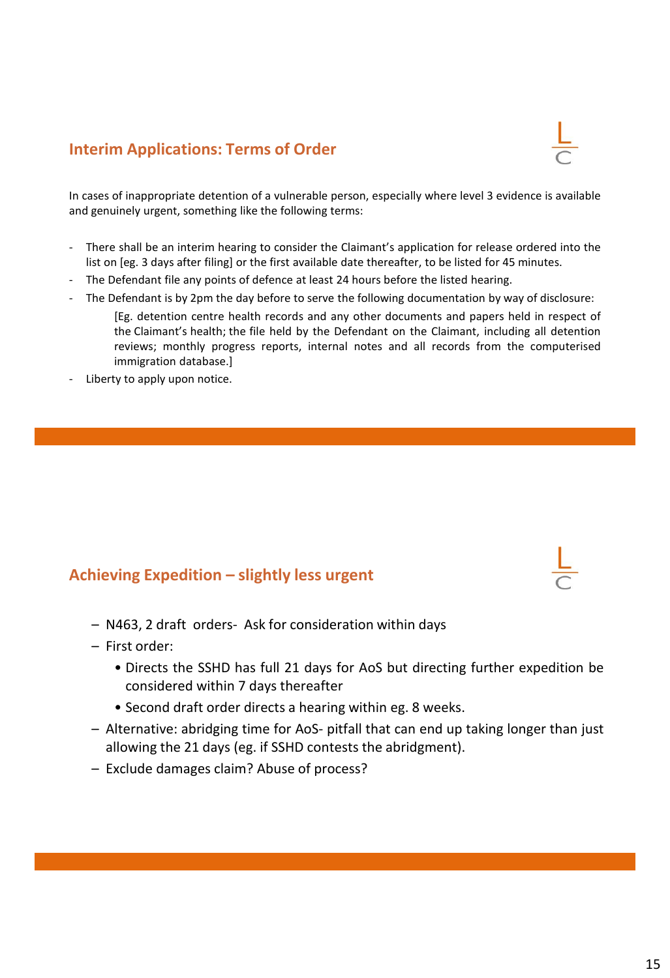### **Interim Applications: Terms of Order**

In cases of inappropriate detention of a vulnerable person, especially where level 3 evidence is available and genuinely urgent, something like the following terms:

- There shall be an interim hearing to consider the Claimant's application for release ordered into the list on [eg. 3 days after filing] or the first available date thereafter, to be listed for 45 minutes.
- The Defendant file any points of defence at least 24 hours before the listed hearing.
- The Defendant is by 2pm the day before to serve the following documentation by way of disclosure:

[Eg. detention centre health records and any other documents and papers held in respect of the Claimant's health; the file held by the Defendant on the Claimant, including all detention reviews; monthly progress reports, internal notes and all records from the computerised immigration database.]

- Liberty to apply upon notice.

### **Achieving Expedition – slightly less urgent**

- N463, 2 draft orders- Ask for consideration within days
- First order:
	- Directs the SSHD has full 21 days for AoS but directing further expedition be considered within 7 days thereafter
	- Second draft order directs a hearing within eg. 8 weeks.
- Alternative: abridging time for AoS- pitfall that can end up taking longer than just allowing the 21 days (eg. if SSHD contests the abridgment).
- Exclude damages claim? Abuse of process?





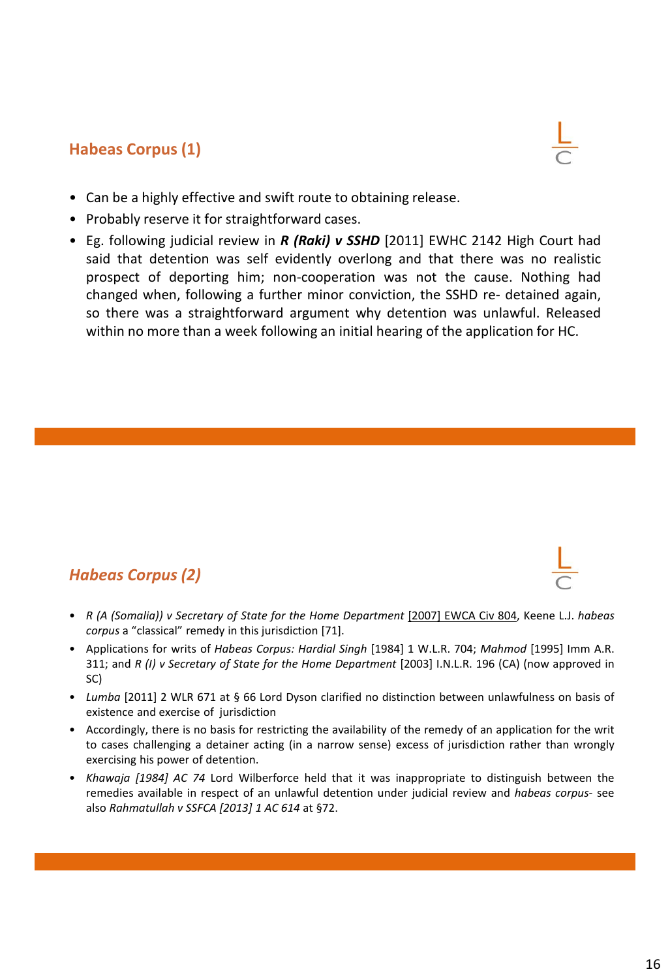## **Habeas Corpus (1)**



- Can be a highly effective and swift route to obtaining release.
- Probably reserve it for straightforward cases.
- Eg. following judicial review in *R (Raki) v SSHD* [2011] EWHC 2142 High Court had said that detention was self evidently overlong and that there was no realistic prospect of deporting him; non-cooperation was not the cause. Nothing had changed when, following a further minor conviction, the SSHD re- detained again, so there was a straightforward argument why detention was unlawful. Released within no more than a week following an initial hearing of the application for HC.

## *Habeas Corpus (2)*

- *R (A (Somalia)) v Secretary of State for the Home Department* [2007] EWCA Civ 804, Keene L.J. *habeas corpus* a "classical" remedy in this jurisdiction [71].
- Applications for writs of *Habeas Corpus: Hardial Singh* [1984] 1 W.L.R. 704; *Mahmod* [1995] Imm A.R. 311; and *R (I) v Secretary of State for the Home Department* [2003] I.N.L.R. 196 (CA) (now approved in SC)
- *Lumba* [2011] 2 WLR 671 at § 66 Lord Dyson clarified no distinction between unlawfulness on basis of existence and exercise of jurisdiction
- Accordingly, there is no basis for restricting the availability of the remedy of an application for the writ to cases challenging a detainer acting (in a narrow sense) excess of jurisdiction rather than wrongly exercising his power of detention.
- *Khawaja [1984] AC 74* Lord Wilberforce held that it was inappropriate to distinguish between the remedies available in respect of an unlawful detention under judicial review and *habeas corpus*- see also *Rahmatullah v SSFCA [2013] 1 AC 614* at §72.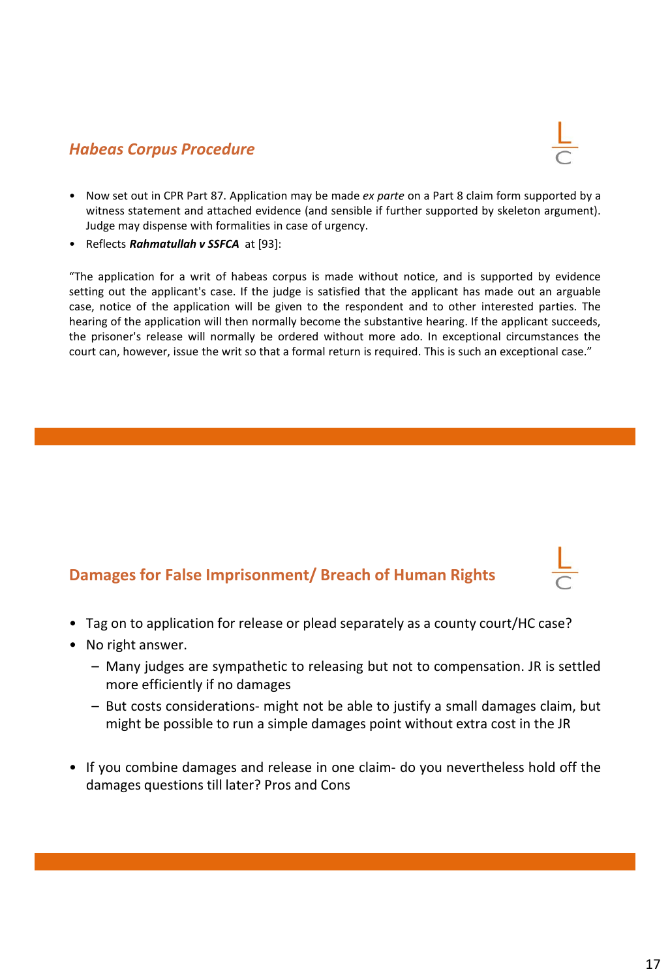### *Habeas Corpus Procedure*



- Now set out in CPR Part 87. Application may be made *ex parte* on a Part 8 claim form supported by a witness statement and attached evidence (and sensible if further supported by skeleton argument). Judge may dispense with formalities in case of urgency.
- Reflects *Rahmatullah v SSFCA* at [93]:

"The application for a writ of habeas corpus is made without notice, and is supported by evidence setting out the applicant's case. If the judge is satisfied that the applicant has made out an arguable case, notice of the application will be given to the respondent and to other interested parties. The hearing of the application will then normally become the substantive hearing. If the applicant succeeds, the prisoner's release will normally be ordered without more ado. In exceptional circumstances the court can, however, issue the writ so that a formal return is required. This is such an exceptional case."

## **Damages for False Imprisonment/ Breach of Human Rights**

- Tag on to application for release or plead separately as a county court/HC case?
- No right answer.
	- Many judges are sympathetic to releasing but not to compensation. JR is settled more efficiently if no damages
	- But costs considerations- might not be able to justify a small damages claim, but might be possible to run a simple damages point without extra cost in the JR
- If you combine damages and release in one claim- do you nevertheless hold off the damages questions till later? Pros and Cons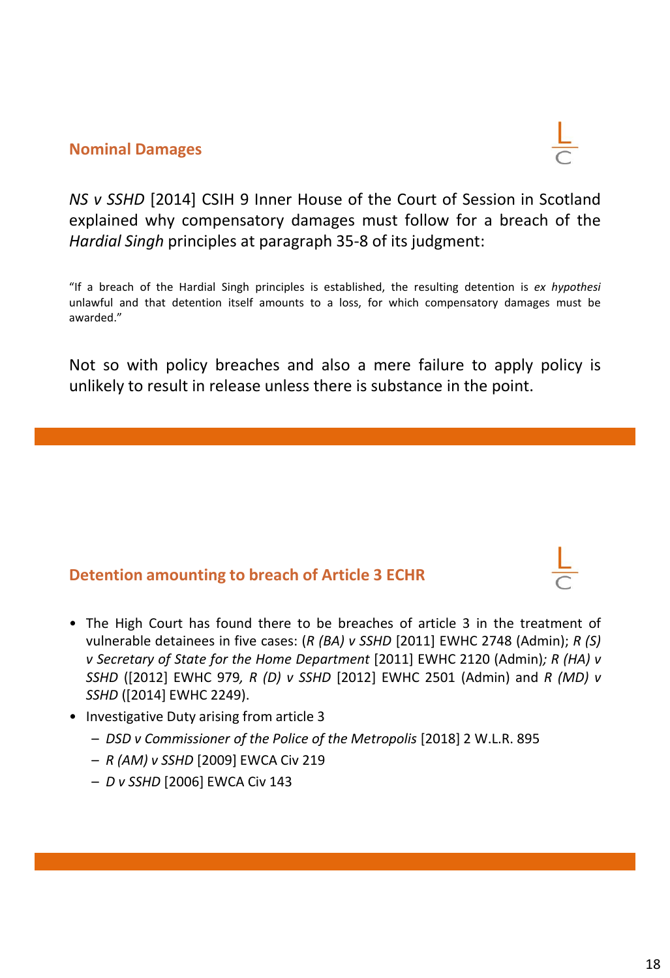### **Nominal Damages**



*NS v SSHD* [2014] CSIH 9 Inner House of the Court of Session in Scotland explained why compensatory damages must follow for a breach of the *Hardial Singh* principles at paragraph 35-8 of its judgment:

"If a breach of the Hardial Singh principles is established, the resulting detention is *ex hypothesi* unlawful and that detention itself amounts to a loss, for which compensatory damages must be awarded."

Not so with policy breaches and also a mere failure to apply policy is unlikely to result in release unless there is substance in the point.

## **Detention amounting to breach of Article 3 ECHR**

- The High Court has found there to be breaches of article 3 in the treatment of vulnerable detainees in five cases: (*R (BA) v SSHD* [2011] EWHC 2748 (Admin); *R (S) v Secretary of State for the Home Department* [2011] EWHC 2120 (Admin)*; R (HA) v SSHD* ([2012] EWHC 979*, R (D) v SSHD* [2012] EWHC 2501 (Admin) and *R (MD) v SSHD* ([2014] EWHC 2249).
- Investigative Duty arising from article 3
	- *DSD v Commissioner of the Police of the Metropolis* [2018] 2 W.L.R. 895
	- *R (AM) v SSHD* [2009] EWCA Civ 219
	- *D v SSHD* [2006] EWCA Civ 143